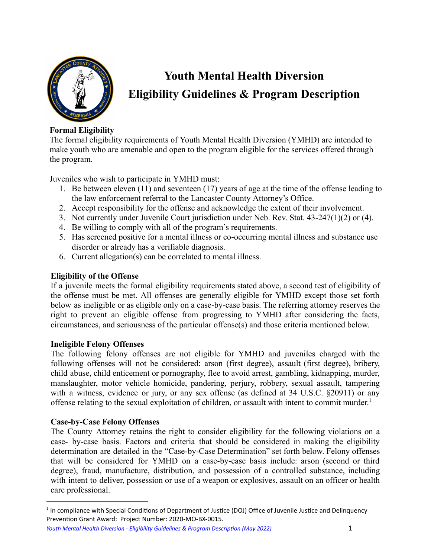

# **Youth Mental Health Diversion Eligibility Guidelines & Program Description**

# **Formal Eligibility**

The formal eligibility requirements of Youth Mental Health Diversion (YMHD) are intended to make youth who are amenable and open to the program eligible for the services offered through the program.

Juveniles who wish to participate in YMHD must:

- 1. Be between eleven (11) and seventeen (17) years of age at the time of the offense leading to the law enforcement referral to the Lancaster County Attorney's Office.
- 2. Accept responsibility for the offense and acknowledge the extent of their involvement.
- 3. Not currently under Juvenile Court jurisdiction under Neb. Rev. Stat. 43-247(1)(2) or (4).
- 4. Be willing to comply with all of the program's requirements.
- 5. Has screened positive for a mental illness or co-occurring mental illness and substance use disorder or already has a verifiable diagnosis.
- 6. Current allegation(s) can be correlated to mental illness.

# **Eligibility of the Offense**

If a juvenile meets the formal eligibility requirements stated above, a second test of eligibility of the offense must be met. All offenses are generally eligible for YMHD except those set forth below as ineligible or as eligible only on a case-by-case basis. The referring attorney reserves the right to prevent an eligible offense from progressing to YMHD after considering the facts, circumstances, and seriousness of the particular offense(s) and those criteria mentioned below.

# **Ineligible Felony Offenses**

The following felony offenses are not eligible for YMHD and juveniles charged with the following offenses will not be considered: arson (first degree), assault (first degree), bribery, child abuse, child enticement or pornography, flee to avoid arrest, gambling, kidnapping, murder, manslaughter, motor vehicle homicide, pandering, perjury, robbery, sexual assault, tampering with a witness, evidence or jury, or any sex offense (as defined at 34 U.S.C. §20911) or any offense relating to the sexual exploitation of children, or assault with intent to commit murder. 1

# **Case-by-Case Felony Offenses**

The County Attorney retains the right to consider eligibility for the following violations on a case- by-case basis. Factors and criteria that should be considered in making the eligibility determination are detailed in the "Case-by-Case Determination" set forth below. Felony offenses that will be considered for YMHD on a case-by-case basis include: arson (second or third degree), fraud, manufacture, distribution, and possession of a controlled substance, including with intent to deliver, possession or use of a weapon or explosives, assault on an officer or health care professional.

*Youth Mental Health Diversion - Eligibility Guidelines & Program Description (May 2022)* 1

 $1$  In compliance with Special Conditions of Department of Justice (DOJ) Office of Juvenile Justice and Delinquency Prevention Grant Award: Project Number: 2020-MO-BX-0015.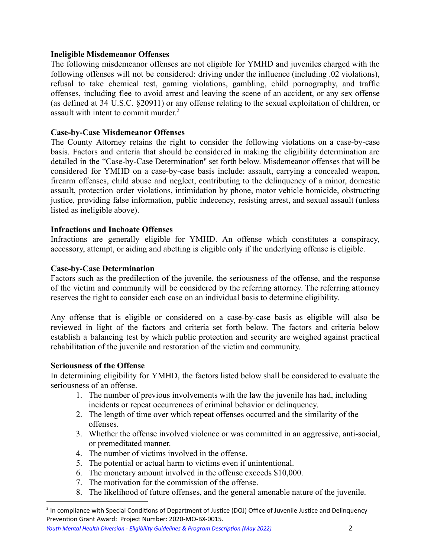# **Ineligible Misdemeanor Offenses**

The following misdemeanor offenses are not eligible for YMHD and juveniles charged with the following offenses will not be considered: driving under the influence (including .02 violations), refusal to take chemical test, gaming violations, gambling, child pornography, and traffic offenses, including flee to avoid arrest and leaving the scene of an accident, or any sex offense (as defined at 34 U.S.C. §20911) or any offense relating to the sexual exploitation of children, or assault with intent to commit murder. 2

# **Case-by-Case Misdemeanor Offenses**

The County Attorney retains the right to consider the following violations on a case-by-case basis. Factors and criteria that should be considered in making the eligibility determination are detailed in the "Case-by-Case Determination'' set forth below. Misdemeanor offenses that will be considered for YMHD on a case-by-case basis include: assault, carrying a concealed weapon, firearm offenses, child abuse and neglect, contributing to the delinquency of a minor, domestic assault, protection order violations, intimidation by phone, motor vehicle homicide, obstructing justice, providing false information, public indecency, resisting arrest, and sexual assault (unless listed as ineligible above).

# **Infractions and Inchoate Offenses**

Infractions are generally eligible for YMHD. An offense which constitutes a conspiracy, accessory, attempt, or aiding and abetting is eligible only if the underlying offense is eligible.

## **Case-by-Case Determination**

Factors such as the predilection of the juvenile, the seriousness of the offense, and the response of the victim and community will be considered by the referring attorney. The referring attorney reserves the right to consider each case on an individual basis to determine eligibility.

Any offense that is eligible or considered on a case-by-case basis as eligible will also be reviewed in light of the factors and criteria set forth below. The factors and criteria below establish a balancing test by which public protection and security are weighed against practical rehabilitation of the juvenile and restoration of the victim and community.

# **Seriousness of the Offense**

In determining eligibility for YMHD, the factors listed below shall be considered to evaluate the seriousness of an offense.

- 1. The number of previous involvements with the law the juvenile has had, including incidents or repeat occurrences of criminal behavior or delinquency.
- 2. The length of time over which repeat offenses occurred and the similarity of the offenses.
- 3. Whether the offense involved violence or was committed in an aggressive, anti-social, or premeditated manner.
- 4. The number of victims involved in the offense.
- 5. The potential or actual harm to victims even if unintentional.
- 6. The monetary amount involved in the offense exceeds \$10,000.
- 7. The motivation for the commission of the offense.
- 8. The likelihood of future offenses, and the general amenable nature of the juvenile.

*Youth Mental Health Diversion - Eligibility Guidelines & Program Description (May 2022)* 2

 $2$  In compliance with Special Conditions of Department of Justice (DOJ) Office of Juvenile Justice and Delinquency Prevention Grant Award: Project Number: 2020-MO-BX-0015.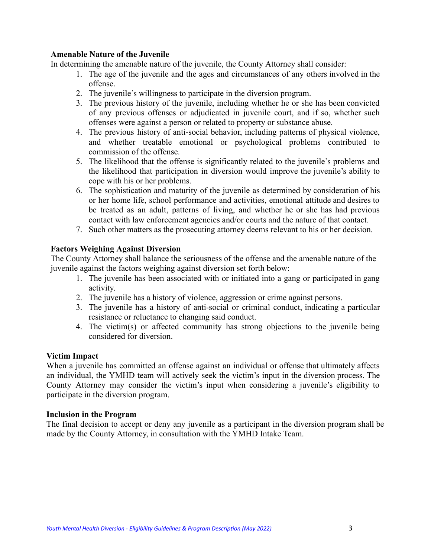## **Amenable Nature of the Juvenile**

In determining the amenable nature of the juvenile, the County Attorney shall consider:

- 1. The age of the juvenile and the ages and circumstances of any others involved in the offense.
- 2. The juvenile's willingness to participate in the diversion program.
- 3. The previous history of the juvenile, including whether he or she has been convicted of any previous offenses or adjudicated in juvenile court, and if so, whether such offenses were against a person or related to property or substance abuse.
- 4. The previous history of anti-social behavior, including patterns of physical violence, and whether treatable emotional or psychological problems contributed to commission of the offense.
- 5. The likelihood that the offense is significantly related to the juvenile's problems and the likelihood that participation in diversion would improve the juvenile's ability to cope with his or her problems.
- 6. The sophistication and maturity of the juvenile as determined by consideration of his or her home life, school performance and activities, emotional attitude and desires to be treated as an adult, patterns of living, and whether he or she has had previous contact with law enforcement agencies and/or courts and the nature of that contact.
- 7. Such other matters as the prosecuting attorney deems relevant to his or her decision.

# **Factors Weighing Against Diversion**

The County Attorney shall balance the seriousness of the offense and the amenable nature of the juvenile against the factors weighing against diversion set forth below:

- 1. The juvenile has been associated with or initiated into a gang or participated in gang activity.
- 2. The juvenile has a history of violence, aggression or crime against persons.
- 3. The juvenile has a history of anti-social or criminal conduct, indicating a particular resistance or reluctance to changing said conduct.
- 4. The victim(s) or affected community has strong objections to the juvenile being considered for diversion.

## **Victim Impact**

When a juvenile has committed an offense against an individual or offense that ultimately affects an individual, the YMHD team will actively seek the victim's input in the diversion process. The County Attorney may consider the victim's input when considering a juvenile's eligibility to participate in the diversion program.

## **Inclusion in the Program**

The final decision to accept or deny any juvenile as a participant in the diversion program shall be made by the County Attorney, in consultation with the YMHD Intake Team.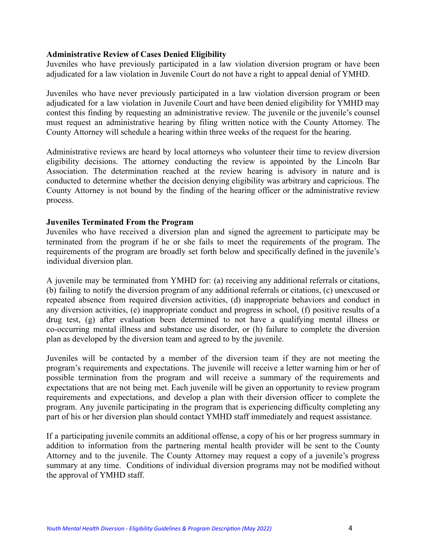#### **Administrative Review of Cases Denied Eligibility**

Juveniles who have previously participated in a law violation diversion program or have been adjudicated for a law violation in Juvenile Court do not have a right to appeal denial of YMHD.

Juveniles who have never previously participated in a law violation diversion program or been adjudicated for a law violation in Juvenile Court and have been denied eligibility for YMHD may contest this finding by requesting an administrative review. The juvenile or the juvenile's counsel must request an administrative hearing by filing written notice with the County Attorney. The County Attorney will schedule a hearing within three weeks of the request for the hearing.

Administrative reviews are heard by local attorneys who volunteer their time to review diversion eligibility decisions. The attorney conducting the review is appointed by the Lincoln Bar Association. The determination reached at the review hearing is advisory in nature and is conducted to determine whether the decision denying eligibility was arbitrary and capricious. The County Attorney is not bound by the finding of the hearing officer or the administrative review process.

#### **Juveniles Terminated From the Program**

Juveniles who have received a diversion plan and signed the agreement to participate may be terminated from the program if he or she fails to meet the requirements of the program. The requirements of the program are broadly set forth below and specifically defined in the juvenile's individual diversion plan.

A juvenile may be terminated from YMHD for: (a) receiving any additional referrals or citations, (b) failing to notify the diversion program of any additional referrals or citations, (c) unexcused or repeated absence from required diversion activities, (d) inappropriate behaviors and conduct in any diversion activities, (e) inappropriate conduct and progress in school, (f) positive results of a drug test, (g) after evaluation been determined to not have a qualifying mental illness or co-occurring mental illness and substance use disorder, or (h) failure to complete the diversion plan as developed by the diversion team and agreed to by the juvenile.

Juveniles will be contacted by a member of the diversion team if they are not meeting the program's requirements and expectations. The juvenile will receive a letter warning him or her of possible termination from the program and will receive a summary of the requirements and expectations that are not being met. Each juvenile will be given an opportunity to review program requirements and expectations, and develop a plan with their diversion officer to complete the program. Any juvenile participating in the program that is experiencing difficulty completing any part of his or her diversion plan should contact YMHD staff immediately and request assistance.

If a participating juvenile commits an additional offense, a copy of his or her progress summary in addition to information from the partnering mental health provider will be sent to the County Attorney and to the juvenile. The County Attorney may request a copy of a juvenile's progress summary at any time. Conditions of individual diversion programs may not be modified without the approval of YMHD staff.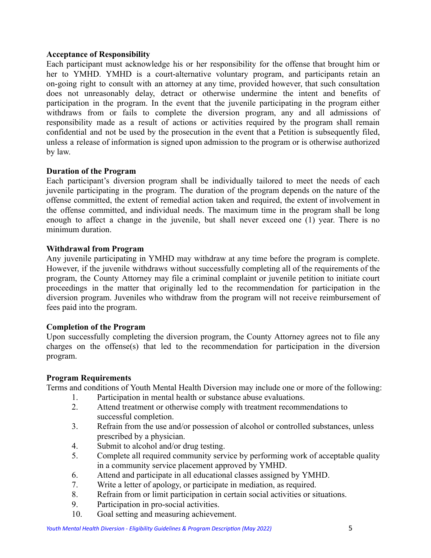## **Acceptance of Responsibility**

Each participant must acknowledge his or her responsibility for the offense that brought him or her to YMHD. YMHD is a court-alternative voluntary program, and participants retain an on-going right to consult with an attorney at any time, provided however, that such consultation does not unreasonably delay, detract or otherwise undermine the intent and benefits of participation in the program. In the event that the juvenile participating in the program either withdraws from or fails to complete the diversion program, any and all admissions of responsibility made as a result of actions or activities required by the program shall remain confidential and not be used by the prosecution in the event that a Petition is subsequently filed, unless a release of information is signed upon admission to the program or is otherwise authorized by law.

# **Duration of the Program**

Each participant's diversion program shall be individually tailored to meet the needs of each juvenile participating in the program. The duration of the program depends on the nature of the offense committed, the extent of remedial action taken and required, the extent of involvement in the offense committed, and individual needs. The maximum time in the program shall be long enough to affect a change in the juvenile, but shall never exceed one (1) year. There is no minimum duration.

## **Withdrawal from Program**

Any juvenile participating in YMHD may withdraw at any time before the program is complete. However, if the juvenile withdraws without successfully completing all of the requirements of the program, the County Attorney may file a criminal complaint or juvenile petition to initiate court proceedings in the matter that originally led to the recommendation for participation in the diversion program. Juveniles who withdraw from the program will not receive reimbursement of fees paid into the program.

# **Completion of the Program**

Upon successfully completing the diversion program, the County Attorney agrees not to file any charges on the offense(s) that led to the recommendation for participation in the diversion program.

## **Program Requirements**

Terms and conditions of Youth Mental Health Diversion may include one or more of the following:

- 1. Participation in mental health or substance abuse evaluations.
- 2. Attend treatment or otherwise comply with treatment recommendations to successful completion.
- 3. Refrain from the use and/or possession of alcohol or controlled substances, unless prescribed by a physician.
- 4. Submit to alcohol and/or drug testing.
- 5. Complete all required community service by performing work of acceptable quality in a community service placement approved by YMHD.
- 6. Attend and participate in all educational classes assigned by YMHD.
- 7. Write a letter of apology, or participate in mediation, as required.
- 8. Refrain from or limit participation in certain social activities or situations.
- 9. Participation in pro-social activities.
- 10. Goal setting and measuring achievement.